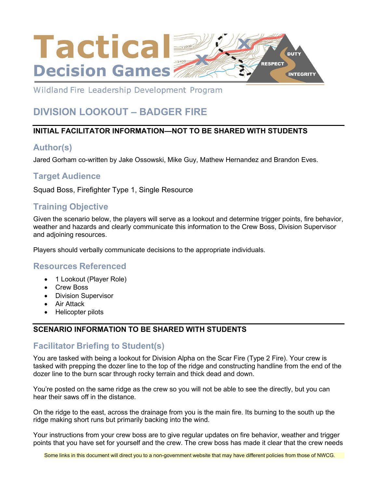

Wildland Fire Leadership Development Program

# **DIVISION LOOKOUT – BADGER FIRE**

#### **INITIAL FACILITATOR INFORMATION—NOT TO BE SHARED WITH STUDENTS**

# **Author(s)**

Jared Gorham co-written by Jake Ossowski, Mike Guy, Mathew Hernandez and Brandon Eves.

# **Target Audience**

Squad Boss, Firefighter Type 1, Single Resource

# **Training Objective**

Given the scenario below, the players will serve as a lookout and determine trigger points, fire behavior, weather and hazards and clearly communicate this information to the Crew Boss, Division Supervisor and adjoining resources.

Players should verbally communicate decisions to the appropriate individuals.

#### **Resources Referenced**

- 1 Lookout (Player Role)
- Crew Boss
- Division Supervisor
- Air Attack
- Helicopter pilots

#### **SCENARIO INFORMATION TO BE SHARED WITH STUDENTS**

# **Facilitator Briefing to Student(s)**

You are tasked with being a lookout for Division Alpha on the Scar Fire (Type 2 Fire). Your crew is tasked with prepping the dozer line to the top of the ridge and constructing handline from the end of the dozer line to the burn scar through rocky terrain and thick dead and down.

You're posted on the same ridge as the crew so you will not be able to see the directly, but you can hear their saws off in the distance.

On the ridge to the east, across the drainage from you is the main fire. Its burning to the south up the ridge making short runs but primarily backing into the wind.

Your instructions from your crew boss are to give regular updates on fire behavior, weather and trigger points that you have set for yourself and the crew. The crew boss has made it clear that the crew needs

Some links in this document will direct you to a non-government website that may have different policies from those of NWCG.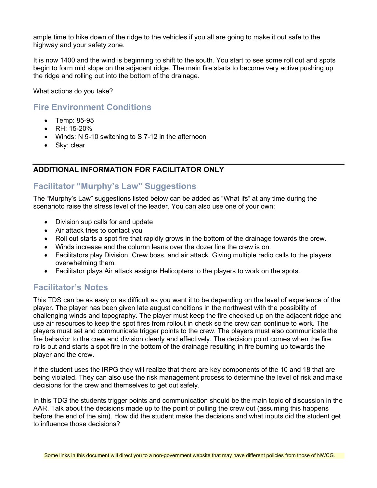ample time to hike down of the ridge to the vehicles if you all are going to make it out safe to the highway and your safety zone.

It is now 1400 and the wind is beginning to shift to the south. You start to see some roll out and spots begin to form mid slope on the adjacent ridge. The main fire starts to become very active pushing up the ridge and rolling out into the bottom of the drainage.

What actions do you take?

# **Fire Environment Conditions**

- Temp: 85-95
- RH: 15-20%
- Winds: N 5-10 switching to S 7-12 in the afternoon
- Sky: clear

#### **ADDITIONAL INFORMATION FOR FACILITATOR ONLY**

#### **Facilitator "Murphy's Law" Suggestions**

The "Murphy's Law" suggestions listed below can be added as "What ifs" at any time during the scenarioto raise the stress level of the leader. You can also use one of your own:

- Division sup calls for and update
- Air attack tries to contact you
- Roll out starts a spot fire that rapidly grows in the bottom of the drainage towards the crew.
- Winds increase and the column leans over the dozer line the crew is on.
- Facilitators play Division, Crew boss, and air attack. Giving multiple radio calls to the players overwhelming them.
- Facilitator plays Air attack assigns Helicopters to the players to work on the spots.

# **Facilitator's Notes**

This TDS can be as easy or as difficult as you want it to be depending on the level of experience of the player. The player has been given late august conditions in the northwest with the possibility of challenging winds and topography. The player must keep the fire checked up on the adjacent ridge and use air resources to keep the spot fires from rollout in check so the crew can continue to work. The players must set and communicate trigger points to the crew. The players must also communicate the fire behavior to the crew and division clearly and effectively. The decision point comes when the fire rolls out and starts a spot fire in the bottom of the drainage resulting in fire burning up towards the player and the crew.

If the student uses the IRPG they will realize that there are key components of the 10 and 18 that are being violated. They can also use the risk management process to determine the level of risk and make decisions for the crew and themselves to get out safely.

In this TDG the students trigger points and communication should be the main topic of discussion in the AAR. Talk about the decisions made up to the point of pulling the crew out (assuming this happens before the end of the sim). How did the student make the decisions and what inputs did the student get to influence those decisions?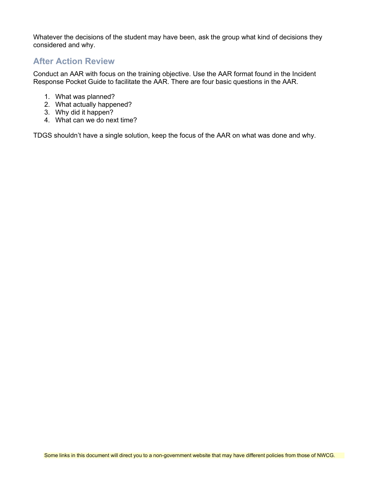Whatever the decisions of the student may have been, ask the group what kind of decisions they considered and why.

#### **After Action Review**

Conduct an AAR with focus on the training objective. Use the AAR format found in the Incident Response Pocket Guide to facilitate the AAR. There are four basic questions in the AAR.

- 1. What was planned?
- 2. What actually happened?
- 3. Why did it happen?
- 4. What can we do next time?

TDGS shouldn't have a single solution, keep the focus of the AAR on what was done and why.